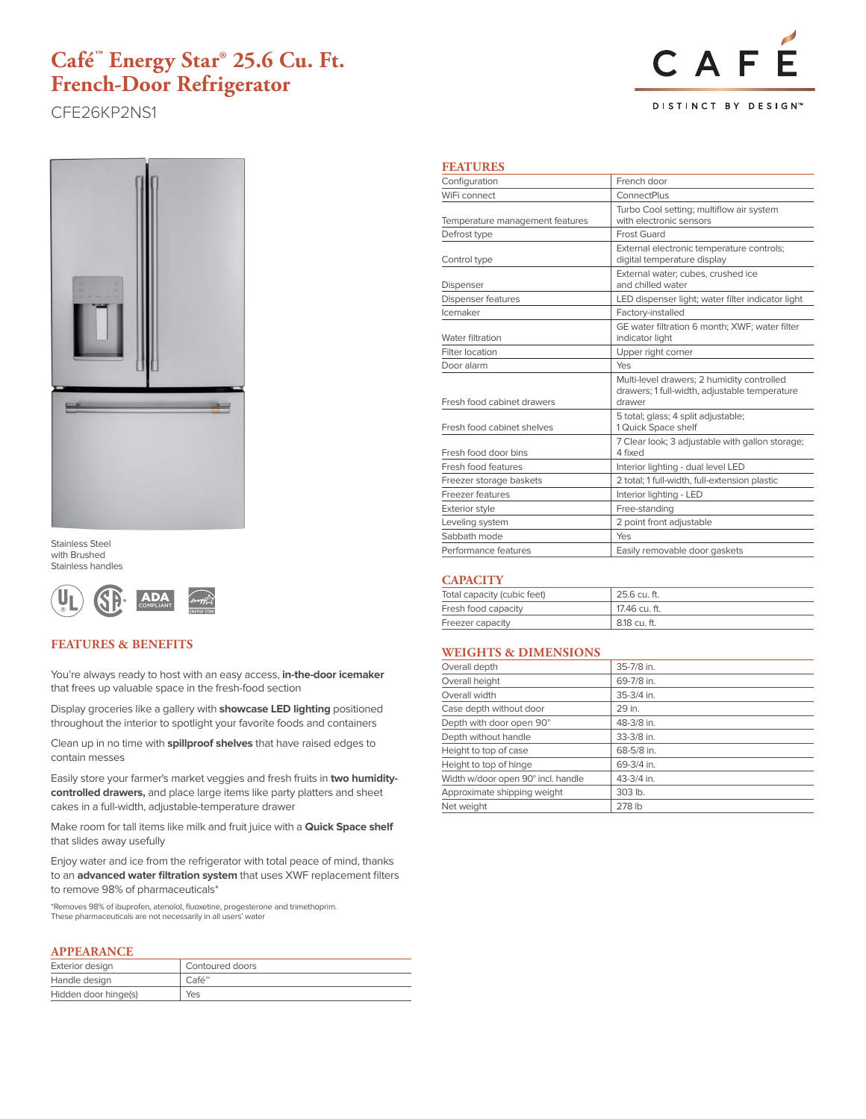# **Café™ Energy Star® 25.6 Cu. Ft. French-Door Refrigerator**

CFE26KP2NS1





Stainless Steel with Brushed Stainless handles



### **FEATURES & BENEFITS**

You're always ready to host with an easy access, **in-the-door icemaker**  that frees up valuable space in the fresh-food section

Display groceries like a gallery with **showcase LED lighting** positioned throughout the interior to spotlight your favorite foods and containers

Clean up in no time with **spillproof shelves** that have raised edges to contain messes

Easily store your farmer's market veggies and fresh fruits in **two humiditycontrolled drawers,** and place large items like party platters and sheet cakes in a full-width, adjustable-temperature drawer

Make room for tall items like milk and fruit juice with a **Quick Space shelf**  that slides away usefully

Enjoy water and ice from the refrigerator with total peace of mind, thanks to an **advanced water filtration system** that uses XWF replacement filters to remove 98% of pharmaceuticals\*

\*Removes 98% of ibuprofen, atenolol, fluoxetine, progesterone and trimethoprim. These pharmaceuticals are not necessarily in all users' water

#### **APPEARANCE**

| Exterior design      | Contoured doors    |
|----------------------|--------------------|
| Handle design        | $Caf\acute{e}^{m}$ |
| Hidden door hinge(s) | Yes                |

#### **FEATURES**

| Configuration                   | French door                                                                                           |  |
|---------------------------------|-------------------------------------------------------------------------------------------------------|--|
| WiFi connect                    | ConnectPlus                                                                                           |  |
| Temperature management features | Turbo Cool setting; multiflow air system<br>with electronic sensors                                   |  |
| Defrost type                    | Frost Guard                                                                                           |  |
| Control type                    | External electronic temperature controls;<br>digital temperature display                              |  |
| Dispenser                       | External water: cubes, crushed ice<br>and chilled water                                               |  |
| <b>Dispenser features</b>       | LED dispenser light; water filter indicator light                                                     |  |
| Icemaker                        | Factory-installed                                                                                     |  |
| Water filtration                | GE water filtration 6 month; XWF; water filter<br>indicator light                                     |  |
| Filter location                 | Upper right corner                                                                                    |  |
| Door alarm                      | Yes                                                                                                   |  |
| Fresh food cabinet drawers      | Multi-level drawers; 2 humidity controlled<br>drawers; 1 full-width, adjustable temperature<br>drawer |  |
| Fresh food cabinet shelves      | 5 total; glass; 4 split adjustable;<br>1 Quick Space shelf                                            |  |
| Fresh food door bins            | 7 Clear look; 3 adjustable with gallon storage;<br>4 fixed                                            |  |
| Fresh food features             | Interior lighting - dual level LED                                                                    |  |
| Freezer storage baskets         | 2 total; 1 full-width, full-extension plastic                                                         |  |
| Freezer features                | Interior lighting - LED                                                                               |  |
| Exterior style                  | Free-standing                                                                                         |  |
| Leveling system                 | 2 point front adjustable                                                                              |  |
| Sabbath mode                    | Yes                                                                                                   |  |
| Performance features            | Easily removable door gaskets                                                                         |  |

#### **CAPACITY**

| Total capacity (cubic feet) | 25.6 cu. ft.  |  |
|-----------------------------|---------------|--|
| Fresh food capacity         | 17.46 cu. ft. |  |
| Freezer capacity            | 8.18 cu. ft.  |  |

### **WEIGHTS & DIMENSIONS**

| Overall depth                      | 35-7/8 in. |
|------------------------------------|------------|
| Overall height                     | 69-7/8 in. |
| Overall width                      | 35-3/4 in. |
| Case depth without door            | 29 in.     |
| Depth with door open 90°           | 48-3/8 in. |
| Depth without handle               | 33-3/8 in. |
| Height to top of case              | 68-5/8 in. |
| Height to top of hinge             | 69-3/4 in. |
| Width w/door open 90° incl. handle | 43-3/4 in. |
| Approximate shipping weight        | 303 lb.    |
| Net weight                         | 278 lb     |